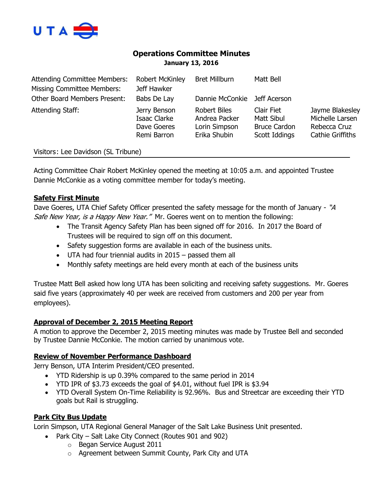

# **Operations Committee Minutes January 13, 2016**

| <b>Attending Committee Members:</b><br><b>Missing Committee Members:</b> | <b>Robert McKinley</b><br>Jeff Hawker                      | <b>Bret Millburn</b>                                                  | Matt Bell                                                        |                                                                               |
|--------------------------------------------------------------------------|------------------------------------------------------------|-----------------------------------------------------------------------|------------------------------------------------------------------|-------------------------------------------------------------------------------|
| <b>Other Board Members Present:</b>                                      | Babs De Lay                                                | Dannie McConkie                                                       | Jeff Acerson                                                     |                                                                               |
| Attending Staff:                                                         | Jerry Benson<br>Isaac Clarke<br>Dave Goeres<br>Remi Barron | <b>Robert Biles</b><br>Andrea Packer<br>Lorin Simpson<br>Erika Shubin | Clair Fiet<br>Matt Sibul<br><b>Bruce Cardon</b><br>Scott Iddings | Jayme Blakesley<br>Michelle Larsen<br>Rebecca Cruz<br><b>Cathie Griffiths</b> |
| Visitors: Lee Davidson (SL Tribune)                                      |                                                            |                                                                       |                                                                  |                                                                               |

Acting Committee Chair Robert McKinley opened the meeting at 10:05 a.m. and appointed Trustee Dannie McConkie as a voting committee member for today's meeting.

# **Safety First Minute**

Dave Goeres, UTA Chief Safety Officer presented the safety message for the month of January - "A Safe New Year, is a Happy New Year." Mr. Goeres went on to mention the following:

- The Transit Agency Safety Plan has been signed off for 2016. In 2017 the Board of Trustees will be required to sign off on this document.
- Safety suggestion forms are available in each of the business units.
- UTA had four triennial audits in 2015 passed them all
- Monthly safety meetings are held every month at each of the business units

Trustee Matt Bell asked how long UTA has been soliciting and receiving safety suggestions. Mr. Goeres said five years (approximately 40 per week are received from customers and 200 per year from employees).

# **Approval of December 2, 2015 Meeting Report**

A motion to approve the December 2, 2015 meeting minutes was made by Trustee Bell and seconded by Trustee Dannie McConkie. The motion carried by unanimous vote.

# **Review of November Performance Dashboard**

Jerry Benson, UTA Interim President/CEO presented.

- YTD Ridership is up 0.39% compared to the same period in 2014
- YTD IPR of \$3.73 exceeds the goal of \$4.01, without fuel IPR is \$3.94
- YTD Overall System On-Time Reliability is 92.96%. Bus and Streetcar are exceeding their YTD goals but Rail is struggling.

# **Park City Bus Update**

Lorin Simpson, UTA Regional General Manager of the Salt Lake Business Unit presented.

- Park City Salt Lake City Connect (Routes 901 and 902)
	- o Began Service August 2011
	- o Agreement between Summit County, Park City and UTA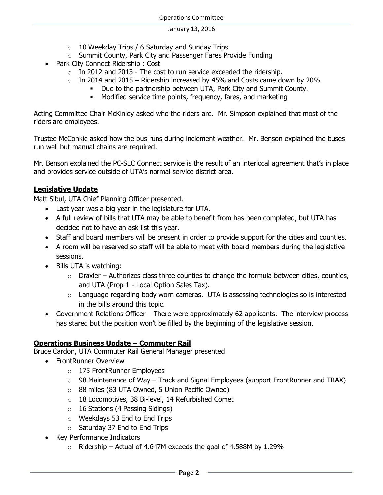- $\circ$  10 Weekday Trips / 6 Saturday and Sunday Trips
- o Summit County, Park City and Passenger Fares Provide Funding
- Park City Connect Ridership : Cost
	- $\circ$  In 2012 and 2013 The cost to run service exceeded the ridership.
	- $\circ$  In 2014 and 2015 Ridership increased by 45% and Costs came down by 20%
		- Due to the partnership between UTA, Park City and Summit County.
			- Modified service time points, frequency, fares, and marketing

Acting Committee Chair McKinley asked who the riders are. Mr. Simpson explained that most of the riders are employees.

Trustee McConkie asked how the bus runs during inclement weather. Mr. Benson explained the buses run well but manual chains are required.

Mr. Benson explained the PC-SLC Connect service is the result of an interlocal agreement that's in place and provides service outside of UTA's normal service district area.

### **Legislative Update**

Matt Sibul, UTA Chief Planning Officer presented.

- Last year was a big year in the legislature for UTA.
- A full review of bills that UTA may be able to benefit from has been completed, but UTA has decided not to have an ask list this year.
- Staff and board members will be present in order to provide support for the cities and counties.
- A room will be reserved so staff will be able to meet with board members during the legislative sessions.
- Bills UTA is watching:
	- $\circ$  Draxler Authorizes class three counties to change the formula between cities, counties, and UTA (Prop 1 - Local Option Sales Tax).
	- $\circ$  Language regarding body worn cameras. UTA is assessing technologies so is interested in the bills around this topic.
- Government Relations Officer There were approximately 62 applicants. The interview process has stared but the position won't be filled by the beginning of the legislative session.

# **Operations Business Update – Commuter Rail**

Bruce Cardon, UTA Commuter Rail General Manager presented.

- FrontRunner Overview
	- o 175 FrontRunner Employees
	- $\circ$  98 Maintenance of Way Track and Signal Employees (support FrontRunner and TRAX)
	- o 88 miles (83 UTA Owned, 5 Union Pacific Owned)
	- o 18 Locomotives, 38 Bi-level, 14 Refurbished Comet
	- o 16 Stations (4 Passing Sidings)
	- o Weekdays 53 End to End Trips
	- $\circ$  Saturday 37 End to End Trips
- Key Performance Indicators
	- $\circ$  Ridership Actual of 4.647M exceeds the goal of 4.588M by 1.29%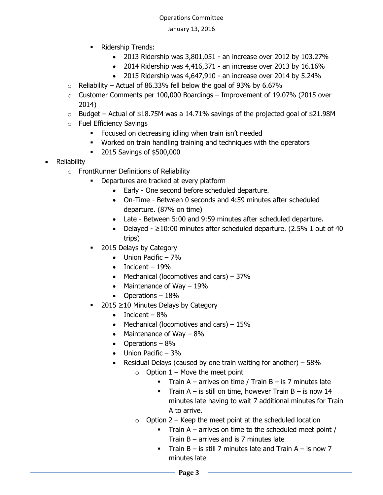- Ridership Trends:
	- 2013 Ridership was 3,801,051 an increase over 2012 by 103.27%
	- $\bullet$  2014 Ridership was 4,416,371 an increase over 2013 by 16.16%
	- 2015 Ridership was 4,647,910 an increase over 2014 by 5.24%
- $\circ$  Reliability Actual of 86.33% fell below the goal of 93% by 6.67%
- $\circ$  Customer Comments per 100,000 Boardings Improvement of 19.07% (2015 over 2014)
- $\circ$  Budget Actual of \$18.75M was a 14.71% savings of the projected goal of \$21.98M
- o Fuel Efficiency Savings
	- **Focused on decreasing idling when train isn't needed**
	- Worked on train handling training and techniques with the operators
	- 2015 Savings of \$500,000
- Reliability
	- o FrontRunner Definitions of Reliability
		- Departures are tracked at every platform
			- Early One second before scheduled departure.
			- On-Time Between 0 seconds and 4:59 minutes after scheduled departure. (87% on time)
			- Late Between 5:00 and 9:59 minutes after scheduled departure.
			- Delayed  $\geq$ 10:00 minutes after scheduled departure. (2.5% 1 out of 40 trips)
		- 2015 Delays by Category
			- $\bullet$  Union Pacific 7%
			- $\bullet$  Incident 19%
			- Mechanical (locomotives and cars)  $-37%$
			- Maintenance of Way  $-19\%$
			- Operations 18%
		- 2015 ≥10 Minutes Delays by Category
			- $\bullet$  Incident 8%
			- Mechanical (locomotives and cars)  $-15%$
			- Maintenance of Way  $-8\%$
			- Operations  $-8\%$
			- $\bullet$  Union Pacific 3%
			- **•** Residual Delays (caused by one train waiting for another)  $-58\%$ 
				- $\circ$  Option 1 Move the meet point
					- Train A arrives on time / Train  $B iS$  7 minutes late
					- Train  $A iS$  still on time, however Train  $B iS$  now 14 minutes late having to wait 7 additional minutes for Train A to arrive.
				- $\circ$  Option 2 Keep the meet point at the scheduled location
					- Train  $A$  arrives on time to the scheduled meet point / Train B – arrives and is 7 minutes late
					- Train  $B -$  is still 7 minutes late and Train  $A -$  is now 7 minutes late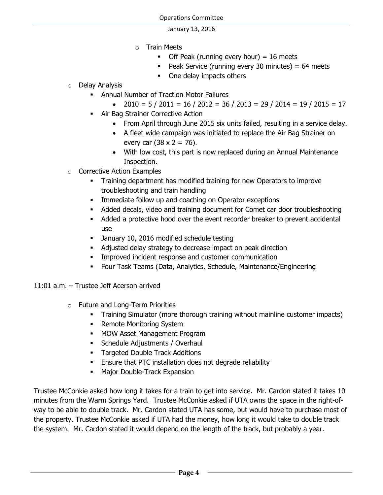- o Train Meets
	- $\blacksquare$  Off Peak (running every hour) = 16 meets
	- Peak Service (running every 30 minutes) =  $64$  meets
	- One delay impacts others
- o Delay Analysis
	- Annual Number of Traction Motor Failures
		- $\bullet$  2010 = 5 / 2011 = 16 / 2012 = 36 / 2013 = 29 / 2014 = 19 / 2015 = 17
	- **Air Bag Strainer Corrective Action** 
		- From April through June 2015 six units failed, resulting in a service delay.
		- A fleet wide campaign was initiated to replace the Air Bag Strainer on every car  $(38 \times 2 = 76)$ .
		- With low cost, this part is now replaced during an Annual Maintenance Inspection.
- o Corrective Action Examples
	- **Training department has modified training for new Operators to improve** troubleshooting and train handling
	- **IMMEDIATE:** Immediate follow up and coaching on Operator exceptions
	- Added decals, video and training document for Comet car door troubleshooting
	- Added a protective hood over the event recorder breaker to prevent accidental use
	- **January 10, 2016 modified schedule testing**
	- Adjusted delay strategy to decrease impact on peak direction
	- Improved incident response and customer communication
	- Four Task Teams (Data, Analytics, Schedule, Maintenance/Engineering
- 11:01 a.m. Trustee Jeff Acerson arrived
	- o Future and Long-Term Priorities
		- Training Simulator (more thorough training without mainline customer impacts)
		- Remote Monitoring System
		- **MOW Asset Management Program**
		- Schedule Adjustments / Overhaul
		- **Targeted Double Track Additions**
		- Ensure that PTC installation does not degrade reliability
		- Major Double-Track Expansion

Trustee McConkie asked how long it takes for a train to get into service. Mr. Cardon stated it takes 10 minutes from the Warm Springs Yard. Trustee McConkie asked if UTA owns the space in the right-ofway to be able to double track. Mr. Cardon stated UTA has some, but would have to purchase most of the property. Trustee McConkie asked if UTA had the money, how long it would take to double track the system. Mr. Cardon stated it would depend on the length of the track, but probably a year.